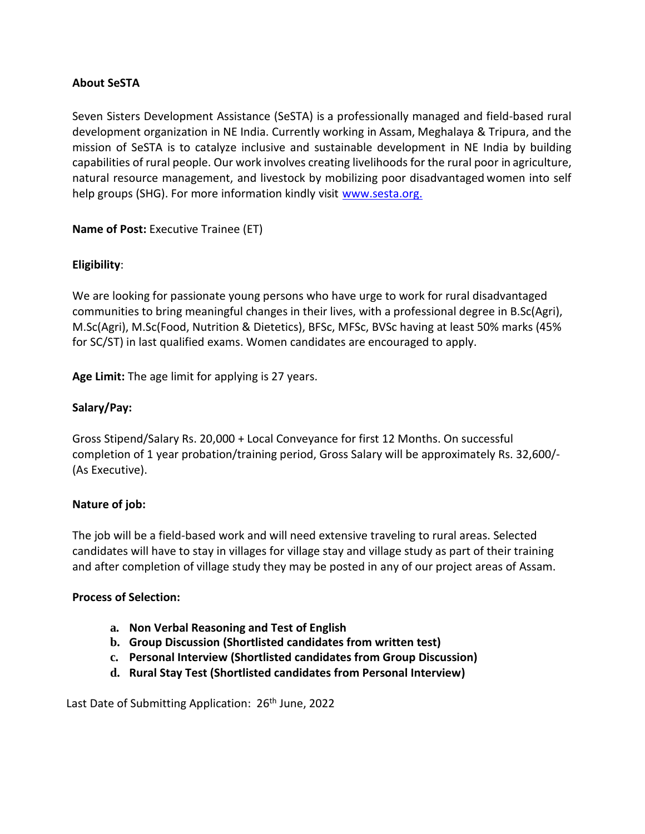## **About SeSTA**

Seven Sisters Development Assistance (SeSTA) is a professionally managed and field-based rural development organization in NE India. Currently working in Assam, Meghalaya & Tripura, and the mission of SeSTA is to catalyze inclusive and sustainable development in NE India by building capabilities of rural people. Our work involves creating livelihoods for the rural poor in agriculture, natural resource management, and livestock by mobilizing poor disadvantaged women into self help groups (SHG). For more information kindly visit [www.sesta.org.](http://www.sesta.org/)

**Name of Post:** Executive Trainee (ET)

# **Eligibility**:

We are looking for passionate young persons who have urge to work for rural disadvantaged communities to bring meaningful changes in their lives, with a professional degree in B.Sc(Agri), M.Sc(Agri), M.Sc(Food, Nutrition & Dietetics), BFSc, MFSc, BVSc having at least 50% marks (45% for SC/ST) in last qualified exams. Women candidates are encouraged to apply.

**Age Limit:** The age limit for applying is 27 years.

## **Salary/Pay:**

Gross Stipend/Salary Rs. 20,000 + Local Conveyance for first 12 Months. On successful completion of 1 year probation/training period, Gross Salary will be approximately Rs. 32,600/- (As Executive).

## **Nature of job:**

The job will be a field-based work and will need extensive traveling to rural areas. Selected candidates will have to stay in villages for village stay and village study as part of their training and after completion of village study they may be posted in any of our project areas of Assam.

## **Process of Selection:**

- **a. Non Verbal Reasoning and Test of English**
- **b. Group Discussion (Shortlisted candidates from written test)**
- **c. Personal Interview (Shortlisted candidates from Group Discussion)**
- **d. Rural Stay Test (Shortlisted candidates from Personal Interview)**

Last Date of Submitting Application: 26<sup>th</sup> June, 2022